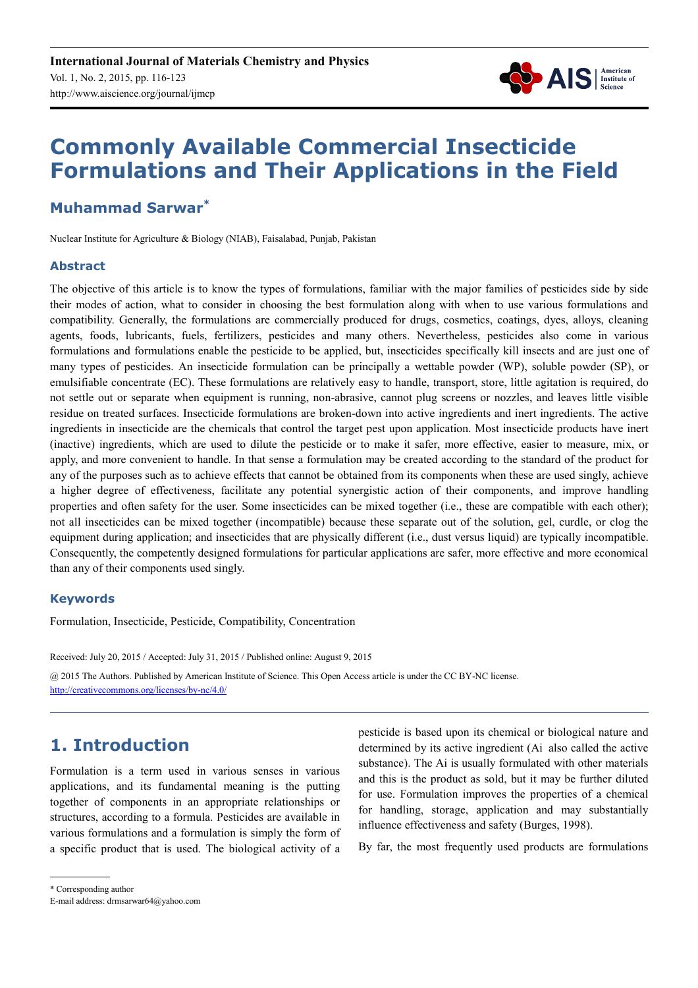

# **Commonly Available Commercial Insecticide Formulations and Their Applications in the Field**

# **Muhammad Sarwar\***

Nuclear Institute for Agriculture & Biology (NIAB), Faisalabad, Punjab, Pakistan

# **Abstract**

The objective of this article is to know the types of formulations, familiar with the major families of pesticides side by side their modes of action, what to consider in choosing the best formulation along with when to use various formulations and compatibility. Generally, the formulations are commercially produced for drugs, cosmetics, coatings, dyes, alloys, cleaning agents, foods, lubricants, fuels, fertilizers, pesticides and many others. Nevertheless, pesticides also come in various formulations and formulations enable the pesticide to be applied, but, insecticides specifically kill insects and are just one of many types of pesticides. An insecticide formulation can be principally a wettable powder (WP), soluble powder (SP), or emulsifiable concentrate (EC). These formulations are relatively easy to handle, transport, store, little agitation is required, do not settle out or separate when equipment is running, non-abrasive, cannot plug screens or nozzles, and leaves little visible residue on treated surfaces. Insecticide formulations are broken-down into active ingredients and inert ingredients. The active ingredients in insecticide are the chemicals that control the target pest upon application. Most insecticide products have inert (inactive) ingredients, which are used to dilute the pesticide or to make it safer, more effective, easier to measure, mix, or apply, and more convenient to handle. In that sense a formulation may be created according to the standard of the product for any of the purposes such as to achieve effects that cannot be obtained from its components when these are used singly, achieve a higher degree of effectiveness, facilitate any potential synergistic action of their components, and improve handling properties and often safety for the user. Some insecticides can be mixed together (i.e., these are compatible with each other); not all insecticides can be mixed together (incompatible) because these separate out of the solution, gel, curdle, or clog the equipment during application; and insecticides that are physically different (i.e., dust versus liquid) are typically incompatible. Consequently, the competently designed formulations for particular applications are safer, more effective and more economical than any of their components used singly.

# **Keywords**

Formulation, Insecticide, Pesticide, Compatibility, Concentration

Received: July 20, 2015 / Accepted: July 31, 2015 / Published online: August 9, 2015 @ 2015 The Authors. Published by American Institute of Science. This Open Access article is under the CC BY-NC license. http://creativecommons.org/licenses/by-nc/4.0/

# **1. Introduction**

Formulation is a term used in various senses in various applications, and its fundamental meaning is the putting together of components in an appropriate relationships or structures, according to a formula. Pesticides are available in various formulations and a formulation is simply the form of a specific product that is used. The biological activity of a pesticide is based upon its chemical or biological nature and determined by its active ingredient (Ai also called the active substance). The Ai is usually formulated with other materials and this is the product as sold, but it may be further diluted for use. Formulation improves the properties of a chemical for handling, storage, application and may substantially influence effectiveness and safety (Burges, 1998).

By far, the most frequently used products are formulations

<sup>\*</sup> Corresponding author

E-mail address: drmsarwar64@yahoo.com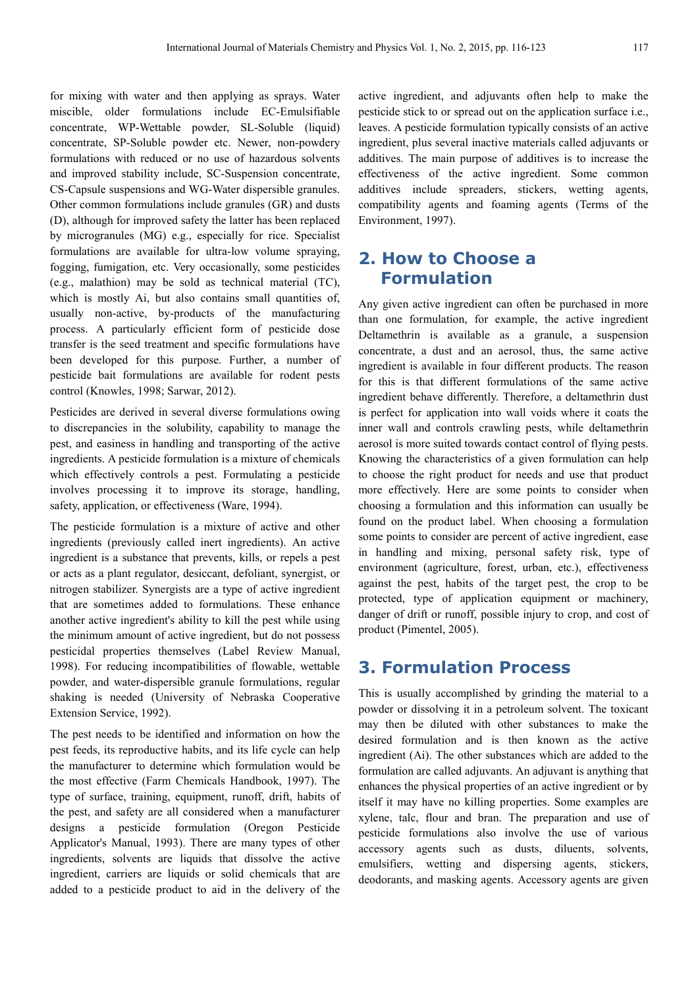for mixing with water and then applying as sprays. Water miscible, older formulations include EC-Emulsifiable concentrate, WP-Wettable powder, SL-Soluble (liquid) concentrate, SP-Soluble powder etc. Newer, non-powdery formulations with reduced or no use of hazardous solvents and improved stability include, SC-Suspension concentrate, CS-Capsule suspensions and WG-Water dispersible granules. Other common formulations include granules (GR) and dusts (D), although for improved safety the latter has been replaced by microgranules (MG) e.g., especially for rice. Specialist formulations are available for ultra-low volume spraying, fogging, fumigation, etc. Very occasionally, some pesticides (e.g., malathion) may be sold as technical material (TC), which is mostly Ai, but also contains small quantities of, usually non-active, by-products of the manufacturing process. A particularly efficient form of pesticide dose transfer is the seed treatment and specific formulations have been developed for this purpose. Further, a number of pesticide bait formulations are available for rodent pests control (Knowles, 1998; Sarwar, 2012).

Pesticides are derived in several diverse formulations owing to discrepancies in the solubility, capability to manage the pest, and easiness in handling and transporting of the active ingredients. A pesticide formulation is a mixture of chemicals which effectively controls a pest. Formulating a pesticide involves processing it to improve its storage, handling, safety, application, or effectiveness (Ware, 1994).

The pesticide formulation is a mixture of active and other ingredients (previously called inert ingredients). An active ingredient is a substance that prevents, kills, or repels a pest or acts as a plant regulator, desiccant, defoliant, synergist, or nitrogen stabilizer. Synergists are a type of active ingredient that are sometimes added to formulations. These enhance another active ingredient's ability to kill the pest while using the minimum amount of active ingredient, but do not possess pesticidal properties themselves (Label Review Manual, 1998). For reducing incompatibilities of flowable, wettable powder, and water-dispersible granule formulations, regular shaking is needed (University of Nebraska Cooperative Extension Service, 1992).

The pest needs to be identified and information on how the pest feeds, its reproductive habits, and its life cycle can help the manufacturer to determine which formulation would be the most effective (Farm Chemicals Handbook, 1997). The type of surface, training, equipment, runoff, drift, habits of the pest, and safety are all considered when a manufacturer designs a pesticide formulation (Oregon Pesticide Applicator's Manual, 1993). There are many types of other ingredients, solvents are liquids that dissolve the active ingredient, carriers are liquids or solid chemicals that are added to a pesticide product to aid in the delivery of the active ingredient, and adjuvants often help to make the pesticide stick to or spread out on the application surface i.e., leaves. A pesticide formulation typically consists of an active ingredient, plus several inactive materials called adjuvants or additives. The main purpose of additives is to increase the effectiveness of the active ingredient. Some common additives include spreaders, stickers, wetting agents, compatibility agents and foaming agents (Terms of the Environment, 1997).

# **2. How to Choose a Formulation**

Any given active ingredient can often be purchased in more than one formulation, for example, the active ingredient Deltamethrin is available as a granule, a suspension concentrate, a dust and an aerosol, thus, the same active ingredient is available in four different products. The reason for this is that different formulations of the same active ingredient behave differently. Therefore, a deltamethrin dust is perfect for application into wall voids where it coats the inner wall and controls crawling pests, while deltamethrin aerosol is more suited towards contact control of flying pests. Knowing the characteristics of a given formulation can help to choose the right product for needs and use that product more effectively. Here are some points to consider when choosing a formulation and this information can usually be found on the product label. When choosing a formulation some points to consider are percent of active ingredient, ease in handling and mixing, personal safety risk, type of environment (agriculture, forest, urban, etc.), effectiveness against the pest, habits of the target pest, the crop to be protected, type of application equipment or machinery, danger of drift or runoff, possible injury to crop, and cost of product (Pimentel, 2005).

# **3. Formulation Process**

This is usually accomplished by grinding the material to a powder or dissolving it in a petroleum solvent. The toxicant may then be diluted with other substances to make the desired formulation and is then known as the active ingredient (Ai). The other substances which are added to the formulation are called adjuvants. An adjuvant is anything that enhances the physical properties of an active ingredient or by itself it may have no killing properties. Some examples are xylene, talc, flour and bran. The preparation and use of pesticide formulations also involve the use of various accessory agents such as dusts, diluents, solvents, emulsifiers, wetting and dispersing agents, stickers, deodorants, and masking agents. Accessory agents are given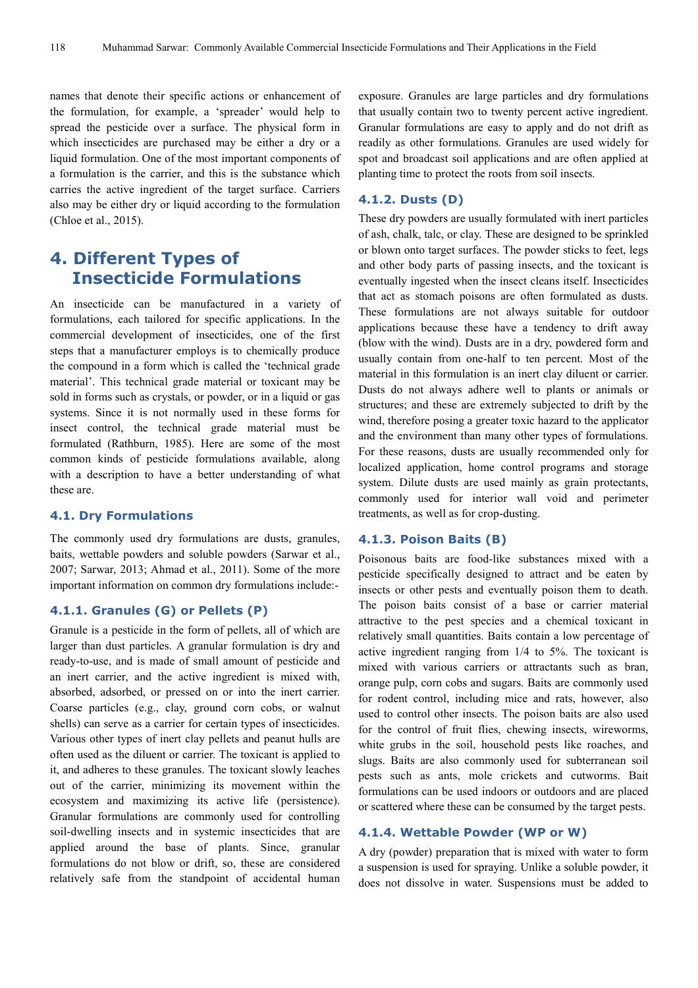names that denote their specific actions or enhancement of the formulation, for example, a 'spreader' would help to spread the pesticide over a surface. The physical form in which insecticides are purchased may be either a dry or a liquid formulation. One of the most important components of a formulation is the carrier, and this is the substance which carries the active ingredient of the target surface. Carriers also may be either dry or liquid according to the formulation (Chloe et al., 2015).

# **4. Different Types of Insecticide Formulations**

An insecticide can be manufactured in a variety of formulations, each tailored for specific applications. In the commercial development of insecticides, one of the first steps that a manufacturer employs is to chemically produce the compound in a form which is called the 'technical grade material'. This technical grade material or toxicant may be sold in forms such as crystals, or powder, or in a liquid or gas systems. Since it is not normally used in these forms for insect control, the technical grade material must be formulated (Rathburn, 1985). Here are some of the most common kinds of pesticide formulations available, along with a description to have a better understanding of what these are.

#### **4.1. Dry Formulations**

The commonly used dry formulations are dusts, granules, baits, wettable powders and soluble powders (Sarwar et al., 2007; Sarwar, 2013; Ahmad et al., 2011). Some of the more important information on common dry formulations include:-

### **4.1.1. Granules (G) or Pellets (P)**

Granule is a pesticide in the form of pellets, all of which are larger than dust particles. A granular formulation is dry and ready-to-use, and is made of small amount of pesticide and an inert carrier, and the active ingredient is mixed with, absorbed, adsorbed, or pressed on or into the inert carrier. Coarse particles (e.g., clay, ground corn cobs, or walnut shells) can serve as a carrier for certain types of insecticides. Various other types of inert clay pellets and peanut hulls are often used as the diluent or carrier. The toxicant is applied to it, and adheres to these granules. The toxicant slowly leaches out of the carrier, minimizing its movement within the ecosystem and maximizing its active life (persistence). Granular formulations are commonly used for controlling soil-dwelling insects and in systemic insecticides that are applied around the base of plants. Since, granular formulations do not blow or drift, so, these are considered relatively safe from the standpoint of accidental human

exposure. Granules are large particles and dry formulations that usually contain two to twenty percent active ingredient. Granular formulations are easy to apply and do not drift as readily as other formulations. Granules are used widely for spot and broadcast soil applications and are often applied at planting time to protect the roots from soil insects.

#### **4.1.2. Dusts (D)**

These dry powders are usually formulated with inert particles of ash, chalk, talc, or clay. These are designed to be sprinkled or blown onto target surfaces. The powder sticks to feet, legs and other body parts of passing insects, and the toxicant is eventually ingested when the insect cleans itself. Insecticides that act as stomach poisons are often formulated as dusts. These formulations are not always suitable for outdoor applications because these have a tendency to drift away (blow with the wind). Dusts are in a dry, powdered form and usually contain from one-half to ten percent. Most of the material in this formulation is an inert clay diluent or carrier. Dusts do not always adhere well to plants or animals or structures; and these are extremely subjected to drift by the wind, therefore posing a greater toxic hazard to the applicator and the environment than many other types of formulations. For these reasons, dusts are usually recommended only for localized application, home control programs and storage system. Dilute dusts are used mainly as grain protectants, commonly used for interior wall void and perimeter treatments, as well as for crop-dusting.

#### **4.1.3. Poison Baits (B)**

Poisonous baits are food-like substances mixed with a pesticide specifically designed to attract and be eaten by insects or other pests and eventually poison them to death. The poison baits consist of a base or carrier material attractive to the pest species and a chemical toxicant in relatively small quantities. Baits contain a low percentage of active ingredient ranging from 1/4 to 5%. The toxicant is mixed with various carriers or attractants such as bran, orange pulp, corn cobs and sugars. Baits are commonly used for rodent control, including mice and rats, however, also used to control other insects. The poison baits are also used for the control of fruit flies, chewing insects, wireworms, white grubs in the soil, household pests like roaches, and slugs. Baits are also commonly used for subterranean soil pests such as ants, mole crickets and cutworms. Bait formulations can be used indoors or outdoors and are placed or scattered where these can be consumed by the target pests.

### **4.1.4. Wettable Powder (WP or W)**

A dry (powder) preparation that is mixed with water to form a suspension is used for spraying. Unlike a soluble powder, it does not dissolve in water. Suspensions must be added to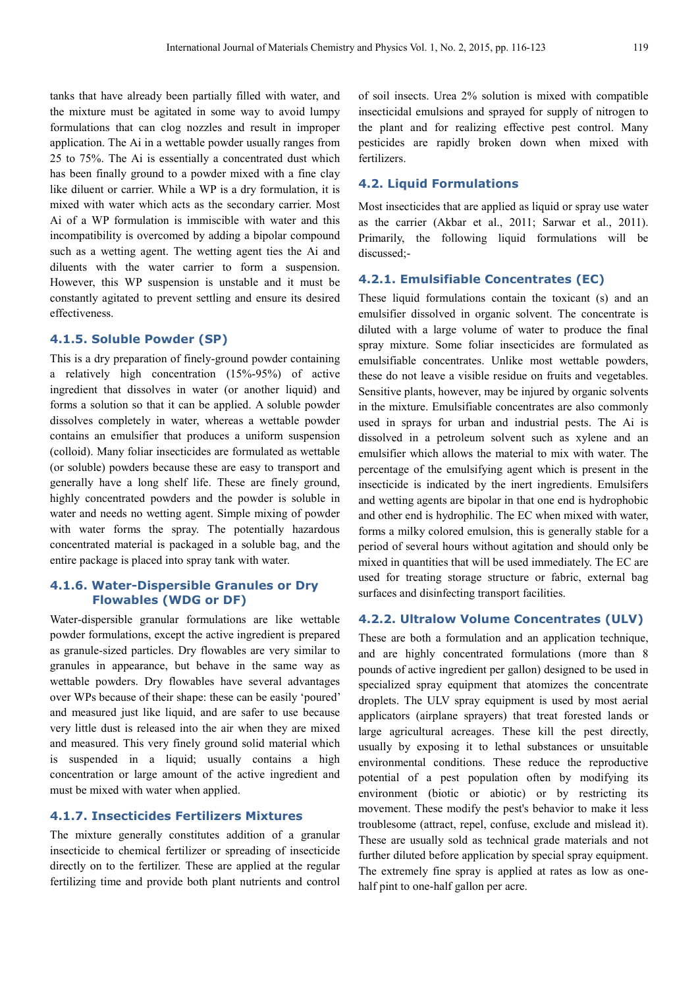tanks that have already been partially filled with water, and the mixture must be agitated in some way to avoid lumpy formulations that can clog nozzles and result in improper application. The Ai in a wettable powder usually ranges from 25 to 75%. The Ai is essentially a concentrated dust which has been finally ground to a powder mixed with a fine clay like diluent or carrier. While a WP is a dry formulation, it is mixed with water which acts as the secondary carrier. Most Ai of a WP formulation is immiscible with water and this incompatibility is overcomed by adding a bipolar compound such as a wetting agent. The wetting agent ties the Ai and diluents with the water carrier to form a suspension. However, this WP suspension is unstable and it must be constantly agitated to prevent settling and ensure its desired effectiveness.

## **4.1.5. Soluble Powder (SP)**

This is a dry preparation of finely-ground powder containing a relatively high concentration (15%-95%) of active ingredient that dissolves in water (or another liquid) and forms a solution so that it can be applied. A soluble powder dissolves completely in water, whereas a wettable powder contains an emulsifier that produces a uniform suspension (colloid). Many foliar insecticides are formulated as wettable (or soluble) powders because these are easy to transport and generally have a long shelf life. These are finely ground, highly concentrated powders and the powder is soluble in water and needs no wetting agent. Simple mixing of powder with water forms the spray. The potentially hazardous concentrated material is packaged in a soluble bag, and the entire package is placed into spray tank with water.

# **4.1.6. Water-Dispersible Granules or Dry Flowables (WDG or DF)**

Water-dispersible granular formulations are like wettable powder formulations, except the active ingredient is prepared as granule-sized particles. Dry flowables are very similar to granules in appearance, but behave in the same way as wettable powders. Dry flowables have several advantages over WPs because of their shape: these can be easily 'poured' and measured just like liquid, and are safer to use because very little dust is released into the air when they are mixed and measured. This very finely ground solid material which is suspended in a liquid; usually contains a high concentration or large amount of the active ingredient and must be mixed with water when applied.

### **4.1.7. Insecticides Fertilizers Mixtures**

The mixture generally constitutes addition of a granular insecticide to chemical fertilizer or spreading of insecticide directly on to the fertilizer. These are applied at the regular fertilizing time and provide both plant nutrients and control of soil insects. Urea 2% solution is mixed with compatible insecticidal emulsions and sprayed for supply of nitrogen to the plant and for realizing effective pest control. Many pesticides are rapidly broken down when mixed with fertilizers.

#### **4.2. Liquid Formulations**

Most insecticides that are applied as liquid or spray use water as the carrier (Akbar et al., 2011; Sarwar et al., 2011). Primarily, the following liquid formulations will be discussed;-

#### **4.2.1. Emulsifiable Concentrates (EC)**

These liquid formulations contain the toxicant (s) and an emulsifier dissolved in organic solvent. The concentrate is diluted with a large volume of water to produce the final spray mixture. Some foliar insecticides are formulated as emulsifiable concentrates. Unlike most wettable powders, these do not leave a visible residue on fruits and vegetables. Sensitive plants, however, may be injured by organic solvents in the mixture. Emulsifiable concentrates are also commonly used in sprays for urban and industrial pests. The Ai is dissolved in a petroleum solvent such as xylene and an emulsifier which allows the material to mix with water. The percentage of the emulsifying agent which is present in the insecticide is indicated by the inert ingredients. Emulsifers and wetting agents are bipolar in that one end is hydrophobic and other end is hydrophilic. The EC when mixed with water, forms a milky colored emulsion, this is generally stable for a period of several hours without agitation and should only be mixed in quantities that will be used immediately. The EC are used for treating storage structure or fabric, external bag surfaces and disinfecting transport facilities.

#### **4.2.2. Ultralow Volume Concentrates (ULV)**

These are both a formulation and an application technique, and are highly concentrated formulations (more than 8 pounds of active ingredient per gallon) designed to be used in specialized spray equipment that atomizes the concentrate droplets. The ULV spray equipment is used by most aerial applicators (airplane sprayers) that treat forested lands or large agricultural acreages. These kill the pest directly, usually by exposing it to lethal substances or unsuitable environmental conditions. These reduce the reproductive potential of a pest population often by modifying its environment (biotic or abiotic) or by restricting its movement. These modify the pest's behavior to make it less troublesome (attract, repel, confuse, exclude and mislead it). These are usually sold as technical grade materials and not further diluted before application by special spray equipment. The extremely fine spray is applied at rates as low as onehalf pint to one-half gallon per acre.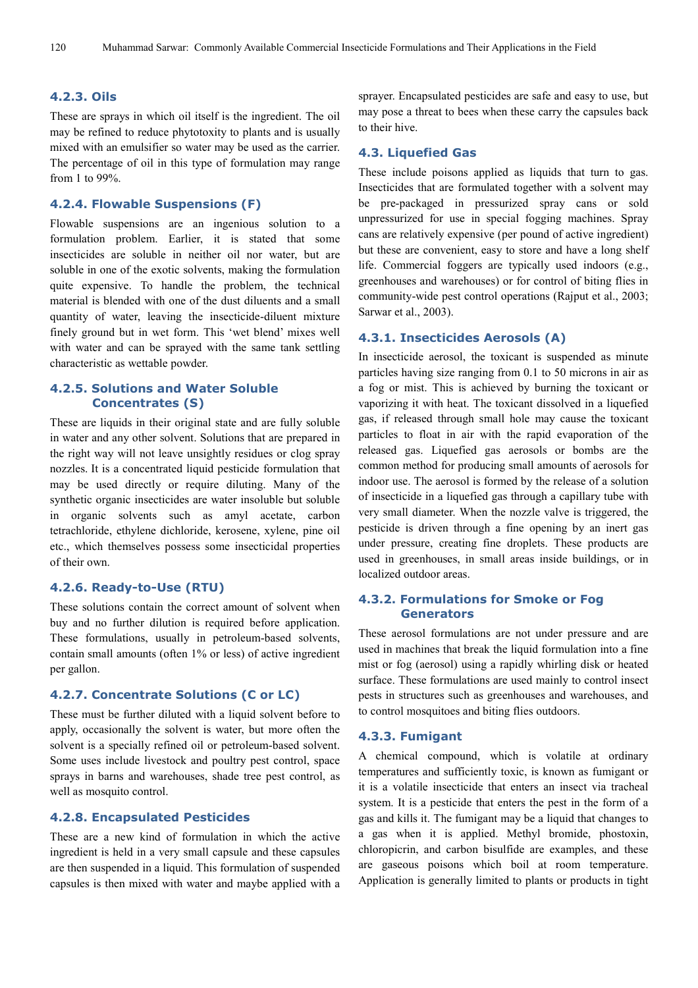## **4.2.3. Oils**

These are sprays in which oil itself is the ingredient. The oil may be refined to reduce phytotoxity to plants and is usually mixed with an emulsifier so water may be used as the carrier. The percentage of oil in this type of formulation may range from 1 to 99%.

### **4.2.4. Flowable Suspensions (F)**

Flowable suspensions are an ingenious solution to a formulation problem. Earlier, it is stated that some insecticides are soluble in neither oil nor water, but are soluble in one of the exotic solvents, making the formulation quite expensive. To handle the problem, the technical material is blended with one of the dust diluents and a small quantity of water, leaving the insecticide-diluent mixture finely ground but in wet form. This 'wet blend' mixes well with water and can be sprayed with the same tank settling characteristic as wettable powder.

# **4.2.5. Solutions and Water Soluble Concentrates (S)**

These are liquids in their original state and are fully soluble in water and any other solvent. Solutions that are prepared in the right way will not leave unsightly residues or clog spray nozzles. It is a concentrated liquid pesticide formulation that may be used directly or require diluting. Many of the synthetic organic insecticides are water insoluble but soluble in organic solvents such as amyl acetate, carbon tetrachloride, ethylene dichloride, kerosene, xylene, pine oil etc., which themselves possess some insecticidal properties of their own.

### **4.2.6. Ready-to-Use (RTU)**

These solutions contain the correct amount of solvent when buy and no further dilution is required before application. These formulations, usually in petroleum-based solvents, contain small amounts (often 1% or less) of active ingredient per gallon.

### **4.2.7. Concentrate Solutions (C or LC)**

These must be further diluted with a liquid solvent before to apply, occasionally the solvent is water, but more often the solvent is a specially refined oil or petroleum-based solvent. Some uses include livestock and poultry pest control, space sprays in barns and warehouses, shade tree pest control, as well as mosquito control.

### **4.2.8. Encapsulated Pesticides**

These are a new kind of formulation in which the active ingredient is held in a very small capsule and these capsules are then suspended in a liquid. This formulation of suspended capsules is then mixed with water and maybe applied with a sprayer. Encapsulated pesticides are safe and easy to use, but may pose a threat to bees when these carry the capsules back to their hive.

#### **4.3. Liquefied Gas**

These include poisons applied as liquids that turn to gas. Insecticides that are formulated together with a solvent may be pre-packaged in pressurized spray cans or sold unpressurized for use in special fogging machines. Spray cans are relatively expensive (per pound of active ingredient) but these are convenient, easy to store and have a long shelf life. Commercial foggers are typically used indoors (e.g., greenhouses and warehouses) or for control of biting flies in community-wide pest control operations (Rajput et al., 2003; Sarwar et al., 2003).

## **4.3.1. Insecticides Aerosols (A)**

In insecticide aerosol, the toxicant is suspended as minute particles having size ranging from 0.1 to 50 microns in air as a fog or mist. This is achieved by burning the toxicant or vaporizing it with heat. The toxicant dissolved in a liquefied gas, if released through small hole may cause the toxicant particles to float in air with the rapid evaporation of the released gas. Liquefied gas aerosols or bombs are the common method for producing small amounts of aerosols for indoor use. The aerosol is formed by the release of a solution of insecticide in a liquefied gas through a capillary tube with very small diameter. When the nozzle valve is triggered, the pesticide is driven through a fine opening by an inert gas under pressure, creating fine droplets. These products are used in greenhouses, in small areas inside buildings, or in localized outdoor areas.

# **4.3.2. Formulations for Smoke or Fog Generators**

These aerosol formulations are not under pressure and are used in machines that break the liquid formulation into a fine mist or fog (aerosol) using a rapidly whirling disk or heated surface. These formulations are used mainly to control insect pests in structures such as greenhouses and warehouses, and to control mosquitoes and biting flies outdoors.

#### **4.3.3. Fumigant**

A chemical compound, which is volatile at ordinary temperatures and sufficiently toxic, is known as fumigant or it is a volatile insecticide that enters an insect via tracheal system. It is a pesticide that enters the pest in the form of a gas and kills it. The fumigant may be a liquid that changes to a gas when it is applied. Methyl bromide, phostoxin, chloropicrin, and carbon bisulfide are examples, and these are gaseous poisons which boil at room temperature. Application is generally limited to plants or products in tight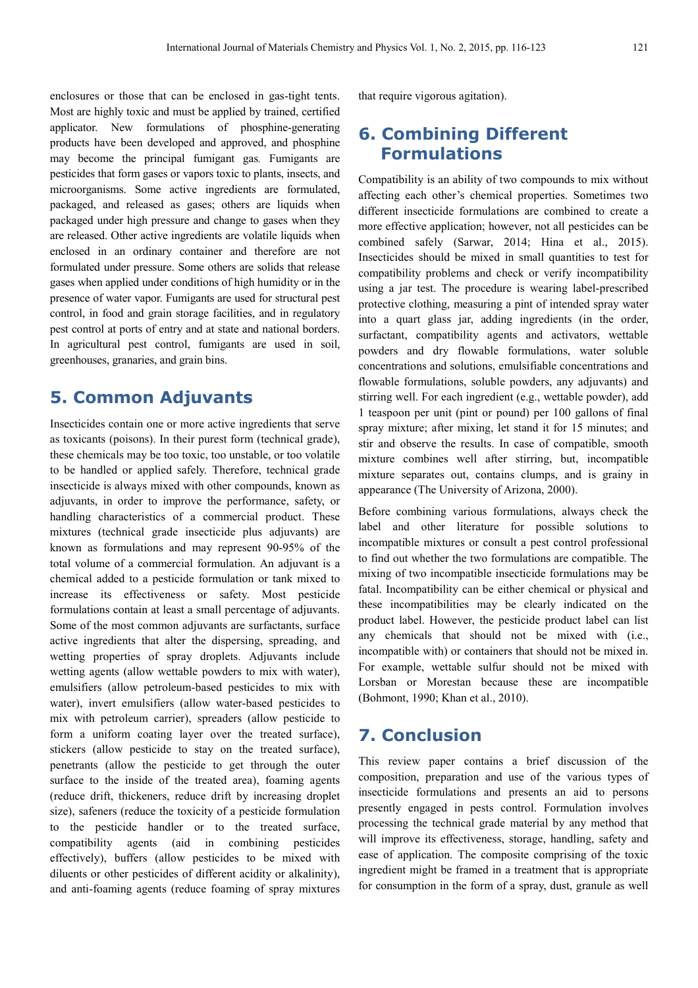enclosures or those that can be enclosed in gas-tight tents. Most are highly toxic and must be applied by trained, certified applicator. New formulations of phosphine-generating products have been developed and approved, and phosphine may become the principal fumigant gas*.* Fumigants are pesticides that form gases or vapors toxic to plants, insects, and microorganisms. Some active ingredients are formulated, packaged, and released as gases; others are liquids when packaged under high pressure and change to gases when they are released. Other active ingredients are volatile liquids when enclosed in an ordinary container and therefore are not formulated under pressure. Some others are solids that release gases when applied under conditions of high humidity or in the presence of water vapor. Fumigants are used for structural pest control, in food and grain storage facilities, and in regulatory pest control at ports of entry and at state and national borders. In agricultural pest control, fumigants are used in soil, greenhouses, granaries, and grain bins.

# **5. Common Adjuvants**

Insecticides contain one or more active ingredients that serve as toxicants (poisons). In their purest form (technical grade), these chemicals may be too toxic, too unstable, or too volatile to be handled or applied safely. Therefore, technical grade insecticide is always mixed with other compounds, known as adjuvants, in order to improve the performance, safety, or handling characteristics of a commercial product. These mixtures (technical grade insecticide plus adjuvants) are known as formulations and may represent 90-95% of the total volume of a commercial formulation. An adjuvant is a chemical added to a pesticide formulation or tank mixed to increase its effectiveness or safety. Most pesticide formulations contain at least a small percentage of adjuvants. Some of the most common adjuvants are surfactants, surface active ingredients that alter the dispersing, spreading, and wetting properties of spray droplets. Adjuvants include wetting agents (allow wettable powders to mix with water), emulsifiers (allow petroleum-based pesticides to mix with water), invert emulsifiers (allow water-based pesticides to mix with petroleum carrier), spreaders (allow pesticide to form a uniform coating layer over the treated surface), stickers (allow pesticide to stay on the treated surface), penetrants (allow the pesticide to get through the outer surface to the inside of the treated area), foaming agents (reduce drift, thickeners, reduce drift by increasing droplet size), safeners (reduce the toxicity of a pesticide formulation to the pesticide handler or to the treated surface, compatibility agents (aid in combining pesticides effectively), buffers (allow pesticides to be mixed with diluents or other pesticides of different acidity or alkalinity), and anti-foaming agents (reduce foaming of spray mixtures

that require vigorous agitation).

# **6. Combining Different Formulations**

Compatibility is an ability of two compounds to mix without affecting each other's chemical properties. Sometimes two different insecticide formulations are combined to create a more effective application; however, not all pesticides can be combined safely (Sarwar, 2014; Hina et al., 2015). Insecticides should be mixed in small quantities to test for compatibility problems and check or verify incompatibility using a jar test. The procedure is wearing label-prescribed protective clothing, measuring a pint of intended spray water into a quart glass jar, adding ingredients (in the order, surfactant, compatibility agents and activators, wettable powders and dry flowable formulations, water soluble concentrations and solutions, emulsifiable concentrations and flowable formulations, soluble powders, any adjuvants) and stirring well. For each ingredient (e.g., wettable powder), add 1 teaspoon per unit (pint or pound) per 100 gallons of final spray mixture; after mixing, let stand it for 15 minutes; and stir and observe the results. In case of compatible, smooth mixture combines well after stirring, but, incompatible mixture separates out, contains clumps, and is grainy in appearance (The University of Arizona, 2000).

Before combining various formulations, always check the label and other literature for possible solutions to incompatible mixtures or consult a pest control professional to find out whether the two formulations are compatible. The mixing of two incompatible insecticide formulations may be fatal. Incompatibility can be either chemical or physical and these incompatibilities may be clearly indicated on the product label. However, the pesticide product label can list any chemicals that should not be mixed with (i.e., incompatible with) or containers that should not be mixed in. For example, wettable sulfur should not be mixed with Lorsban or Morestan because these are incompatible (Bohmont, 1990; Khan et al., 2010).

# **7. Conclusion**

This review paper contains a brief discussion of the composition, preparation and use of the various types of insecticide formulations and presents an aid to persons presently engaged in pests control. Formulation involves processing the technical grade material by any method that will improve its effectiveness, storage, handling, safety and ease of application. The composite comprising of the toxic ingredient might be framed in a treatment that is appropriate for consumption in the form of a spray, dust, granule as well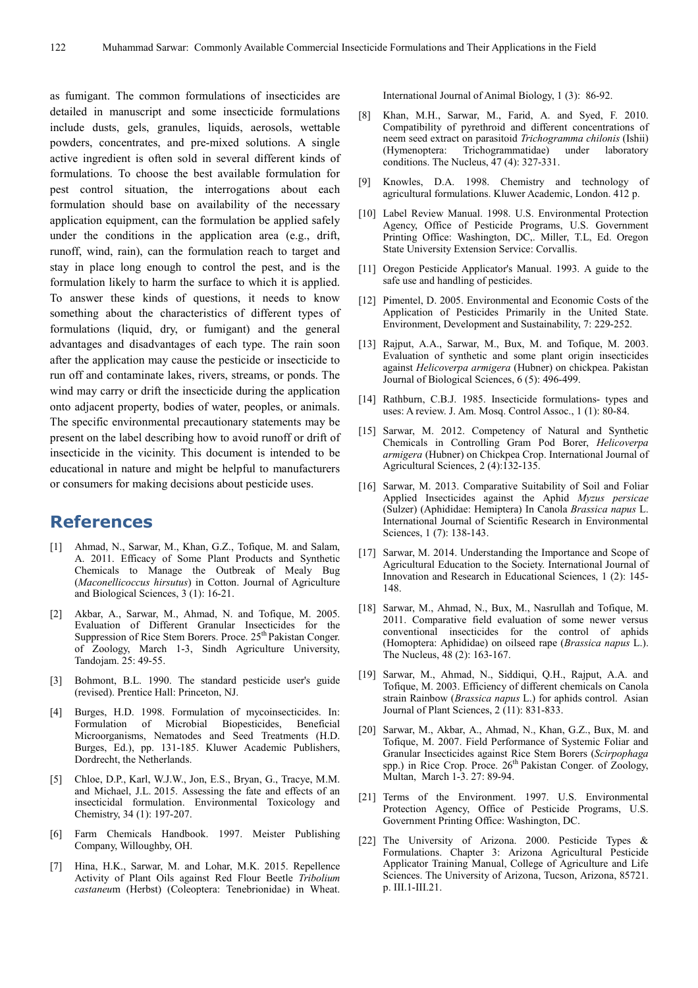as fumigant. The common formulations of insecticides are detailed in manuscript and some insecticide formulations include dusts, gels, granules, liquids, aerosols, wettable powders, concentrates, and pre-mixed solutions. A single active ingredient is often sold in several different kinds of formulations. To choose the best available formulation for pest control situation, the interrogations about each formulation should base on availability of the necessary application equipment, can the formulation be applied safely under the conditions in the application area (e.g., drift, runoff, wind, rain), can the formulation reach to target and stay in place long enough to control the pest, and is the formulation likely to harm the surface to which it is applied. To answer these kinds of questions, it needs to know something about the characteristics of different types of formulations (liquid, dry, or fumigant) and the general advantages and disadvantages of each type. The rain soon after the application may cause the pesticide or insecticide to run off and contaminate lakes, rivers, streams, or ponds. The wind may carry or drift the insecticide during the application onto adjacent property, bodies of water, peoples, or animals. The specific environmental precautionary statements may be present on the label describing how to avoid runoff or drift of insecticide in the vicinity. This document is intended to be educational in nature and might be helpful to manufacturers or consumers for making decisions about pesticide uses.

# **References**

- [1] Ahmad, N., Sarwar, M., Khan, G.Z., Tofique, M. and Salam, A. 2011. Efficacy of Some Plant Products and Synthetic Chemicals to Manage the Outbreak of Mealy Bug (*Maconellicoccus hirsutus*) in Cotton. Journal of Agriculture and Biological Sciences, 3 (1): 16-21.
- [2] Akbar, A., Sarwar, M., Ahmad, N. and Tofique, M. 2005. Evaluation of Different Granular Insecticides for the Suppression of Rice Stem Borers. Proce. 25<sup>th</sup> Pakistan Conger. of Zoology, March 1-3, Sindh Agriculture University, Tandojam. 25: 49-55.
- Bohmont, B.L. 1990. The standard pesticide user's guide (revised). Prentice Hall: Princeton, NJ.
- [4] Burges, H.D. 1998. Formulation of mycoinsecticides. In: Formulation of Microbial Biopesticides, Beneficial Microorganisms, Nematodes and Seed Treatments (H.D. Burges, Ed.), pp. 131-185. Kluwer Academic Publishers, Dordrecht, the Netherlands.
- [5] Chloe, D.P., Karl, W.J.W., Jon, E.S., Bryan, G., Tracye, M.M. and Michael, J.L. 2015. Assessing the fate and effects of an insecticidal formulation. Environmental Toxicology and Chemistry, 34 (1): 197-207.
- [6] Farm Chemicals Handbook. 1997. Meister Publishing Company, Willoughby, OH.
- [7] Hina, H.K., Sarwar, M. and Lohar, M.K. 2015. Repellence Activity of Plant Oils against Red Flour Beetle *Tribolium castaneu*m (Herbst) (Coleoptera: Tenebrionidae) in Wheat.

International Journal of Animal Biology, 1 (3): 86-92.

- [8] Khan, M.H., Sarwar, M., Farid, A. and Syed, F. 2010. Compatibility of pyrethroid and different concentrations of neem seed extract on parasitoid *Trichogramma chilonis* (Ishii) (Hymenoptera: Trichogrammatidae) under laboratory conditions. The Nucleus,  $47(4)$ : 327-331.
- [9] Knowles, D.A. 1998. Chemistry and technology of agricultural formulations. Kluwer Academic, London. 412 p.
- [10] Label Review Manual. 1998. U.S. Environmental Protection Agency, Office of Pesticide Programs, U.S. Government Printing Office: Washington, DC,. Miller, T.L, Ed. Oregon State University Extension Service: Corvallis.
- [11] Oregon Pesticide Applicator's Manual. 1993. A guide to the safe use and handling of pesticides.
- [12] Pimentel, D. 2005. Environmental and Economic Costs of the Application of Pesticides Primarily in the United State. Environment, Development and Sustainability, 7: 229-252.
- [13] Rajput, A.A., Sarwar, M., Bux, M. and Tofique, M. 2003. Evaluation of synthetic and some plant origin insecticides against *Helicoverpa armigera* (Hubner) on chickpea. Pakistan Journal of Biological Sciences, 6 (5): 496-499.
- [14] Rathburn, C.B.J. 1985. Insecticide formulations- types and uses: A review. J. Am. Mosq. Control Assoc., 1 (1): 80-84.
- [15] Sarwar, M. 2012. Competency of Natural and Synthetic Chemicals in Controlling Gram Pod Borer, *Helicoverpa armigera* (Hubner) on Chickpea Crop. International Journal of Agricultural Sciences, 2 (4):132-135.
- [16] Sarwar, M. 2013. Comparative Suitability of Soil and Foliar Applied Insecticides against the Aphid *Myzus persicae*  (Sulzer) (Aphididae: Hemiptera) In Canola *Brassica napus* L. International Journal of Scientific Research in Environmental Sciences, 1 (7): 138-143.
- [17] Sarwar, M. 2014. Understanding the Importance and Scope of Agricultural Education to the Society. International Journal of Innovation and Research in Educational Sciences, 1 (2): 145- 148.
- [18] Sarwar, M., Ahmad, N., Bux, M., Nasrullah and Tofique, M. 2011. Comparative field evaluation of some newer versus conventional insecticides for the control of aphids (Homoptera: Aphididae) on oilseed rape (*Brassica napus* L.). The Nucleus, 48 (2): 163-167.
- [19] Sarwar, M., Ahmad, N., Siddiqui, Q.H., Rajput, A.A. and Tofique, M. 2003. Efficiency of different chemicals on Canola strain Rainbow (*Brassica napus* L.) for aphids control. Asian Journal of Plant Sciences, 2 (11): 831-833.
- [20] Sarwar, M., Akbar, A., Ahmad, N., Khan, G.Z., Bux, M. and Tofique, M. 2007. Field Performance of Systemic Foliar and Granular Insecticides against Rice Stem Borers (*Scirpophaga*  spp.) in Rice Crop. Proce. 26<sup>th</sup> Pakistan Conger. of Zoology, Multan, March 1-3. 27: 89-94.
- [21] Terms of the Environment. 1997. U.S. Environmental Protection Agency, Office of Pesticide Programs, U.S. Government Printing Office: Washington, DC.
- [22] The University of Arizona. 2000. Pesticide Types & Formulations. Chapter 3: Arizona Agricultural Pesticide Applicator Training Manual, College of Agriculture and Life Sciences. The University of Arizona, Tucson, Arizona, 85721. p. III.1-III.21.